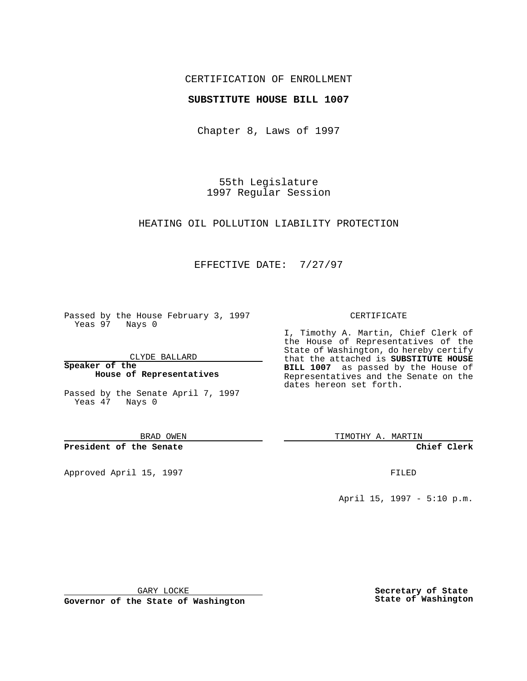## CERTIFICATION OF ENROLLMENT

### **SUBSTITUTE HOUSE BILL 1007**

Chapter 8, Laws of 1997

55th Legislature 1997 Regular Session

#### HEATING OIL POLLUTION LIABILITY PROTECTION

## EFFECTIVE DATE: 7/27/97

Passed by the House February 3, 1997 Yeas 97 Nays 0

CLYDE BALLARD

**Speaker of the House of Representatives**

Passed by the Senate April 7, 1997 Yeas 47 Nays 0

BRAD OWEN

**President of the Senate**

Approved April 15, 1997 **FILED** 

#### CERTIFICATE

I, Timothy A. Martin, Chief Clerk of the House of Representatives of the State of Washington, do hereby certify that the attached is **SUBSTITUTE HOUSE BILL 1007** as passed by the House of Representatives and the Senate on the dates hereon set forth.

TIMOTHY A. MARTIN

**Chief Clerk**

April 15, 1997 - 5:10 p.m.

GARY LOCKE

**Governor of the State of Washington**

**Secretary of State State of Washington**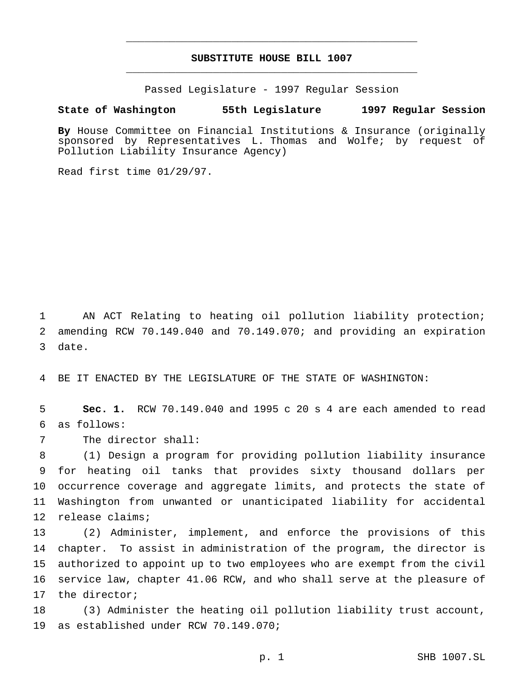# **SUBSTITUTE HOUSE BILL 1007** \_\_\_\_\_\_\_\_\_\_\_\_\_\_\_\_\_\_\_\_\_\_\_\_\_\_\_\_\_\_\_\_\_\_\_\_\_\_\_\_\_\_\_\_\_\_\_

\_\_\_\_\_\_\_\_\_\_\_\_\_\_\_\_\_\_\_\_\_\_\_\_\_\_\_\_\_\_\_\_\_\_\_\_\_\_\_\_\_\_\_\_\_\_\_

Passed Legislature - 1997 Regular Session

#### **State of Washington 55th Legislature 1997 Regular Session**

**By** House Committee on Financial Institutions & Insurance (originally sponsored by Representatives L. Thomas and Wolfe; by request of Pollution Liability Insurance Agency)

Read first time 01/29/97.

 AN ACT Relating to heating oil pollution liability protection; amending RCW 70.149.040 and 70.149.070; and providing an expiration date.

BE IT ENACTED BY THE LEGISLATURE OF THE STATE OF WASHINGTON:

 **Sec. 1.** RCW 70.149.040 and 1995 c 20 s 4 are each amended to read as follows:

The director shall:

 (1) Design a program for providing pollution liability insurance for heating oil tanks that provides sixty thousand dollars per occurrence coverage and aggregate limits, and protects the state of Washington from unwanted or unanticipated liability for accidental release claims;

 (2) Administer, implement, and enforce the provisions of this chapter. To assist in administration of the program, the director is authorized to appoint up to two employees who are exempt from the civil service law, chapter 41.06 RCW, and who shall serve at the pleasure of the director;

 (3) Administer the heating oil pollution liability trust account, as established under RCW 70.149.070;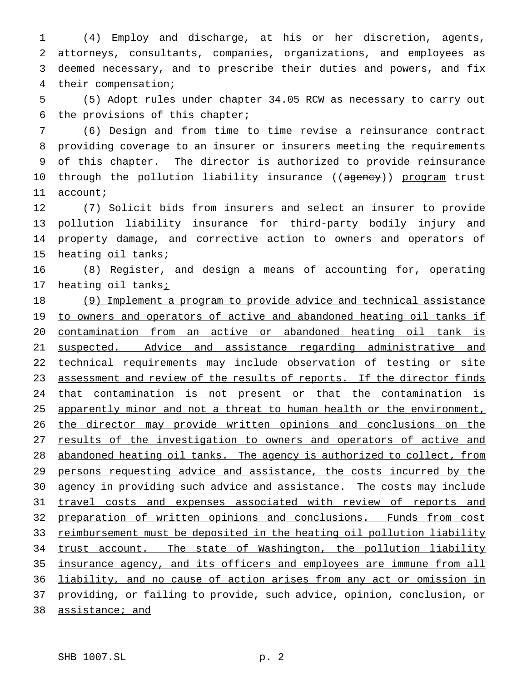(4) Employ and discharge, at his or her discretion, agents, attorneys, consultants, companies, organizations, and employees as deemed necessary, and to prescribe their duties and powers, and fix their compensation;

 (5) Adopt rules under chapter 34.05 RCW as necessary to carry out the provisions of this chapter;

 (6) Design and from time to time revise a reinsurance contract providing coverage to an insurer or insurers meeting the requirements of this chapter. The director is authorized to provide reinsurance 10 through the pollution liability insurance ((agency)) program trust account;

 (7) Solicit bids from insurers and select an insurer to provide pollution liability insurance for third-party bodily injury and property damage, and corrective action to owners and operators of heating oil tanks;

 (8) Register, and design a means of accounting for, operating 17 heating oil tanks<u>;</u>

 (9) Implement a program to provide advice and technical assistance 19 to owners and operators of active and abandoned heating oil tanks if contamination from an active or abandoned heating oil tank is suspected. Advice and assistance regarding administrative and technical requirements may include observation of testing or site 23 assessment and review of the results of reports. If the director finds that contamination is not present or that the contamination is 25 apparently minor and not a threat to human health or the environment, the director may provide written opinions and conclusions on the 27 results of the investigation to owners and operators of active and abandoned heating oil tanks. The agency is authorized to collect, from 29 persons requesting advice and assistance, the costs incurred by the 30 agency in providing such advice and assistance. The costs may include travel costs and expenses associated with review of reports and 32 preparation of written opinions and conclusions. Funds from cost 33 reimbursement must be deposited in the heating oil pollution liability 34 trust account. The state of Washington, the pollution liability insurance agency, and its officers and employees are immune from all liability, and no cause of action arises from any act or omission in providing, or failing to provide, such advice, opinion, conclusion, or assistance; and